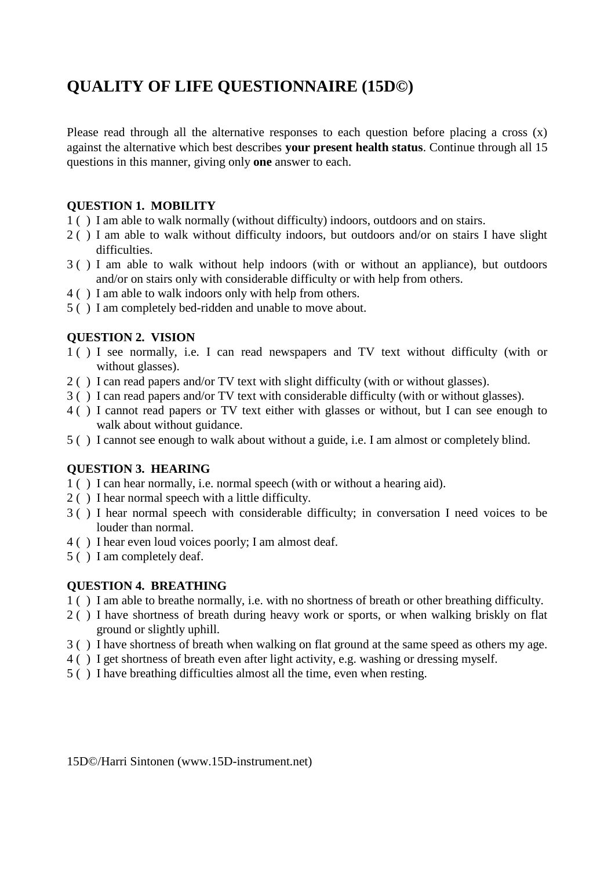# **QUALITY OF LIFE QUESTIONNAIRE (15D©)**

Please read through all the alternative responses to each question before placing a cross (x) against the alternative which best describes **your present health status**. Continue through all 15 questions in this manner, giving only **one** answer to each.

#### **QUESTION 1. MOBILITY**

- 1 ( ) I am able to walk normally (without difficulty) indoors, outdoors and on stairs.
- 2 ( ) I am able to walk without difficulty indoors, but outdoors and/or on stairs I have slight difficulties.
- 3 ( ) I am able to walk without help indoors (with or without an appliance), but outdoors and/or on stairs only with considerable difficulty or with help from others.
- 4 ( ) I am able to walk indoors only with help from others.
- 5 ( ) I am completely bed-ridden and unable to move about.

#### **QUESTION 2. VISION**

- 1 ( ) I see normally, i.e. I can read newspapers and TV text without difficulty (with or without glasses).
- 2 ( ) I can read papers and/or TV text with slight difficulty (with or without glasses).
- 3 ( ) I can read papers and/or TV text with considerable difficulty (with or without glasses).
- 4 ( ) I cannot read papers or TV text either with glasses or without, but I can see enough to walk about without guidance.
- 5 ( ) I cannot see enough to walk about without a guide, i.e. I am almost or completely blind.

#### **QUESTION 3. HEARING**

- 1 ( ) I can hear normally, i.e. normal speech (with or without a hearing aid).
- 2 ( ) I hear normal speech with a little difficulty.
- 3 ( ) I hear normal speech with considerable difficulty; in conversation I need voices to be louder than normal.
- 4 ( ) I hear even loud voices poorly; I am almost deaf.
- 5 ( ) I am completely deaf.

#### **QUESTION 4. BREATHING**

- 1 ( ) I am able to breathe normally, i.e. with no shortness of breath or other breathing difficulty.
- 2 ( ) I have shortness of breath during heavy work or sports, or when walking briskly on flat ground or slightly uphill.
- 3 ( ) I have shortness of breath when walking on flat ground at the same speed as others my age.
- 4 ( ) I get shortness of breath even after light activity, e.g. washing or dressing myself.
- 5 ( ) I have breathing difficulties almost all the time, even when resting.

15D©/Harri Sintonen (www.15D-instrument.net)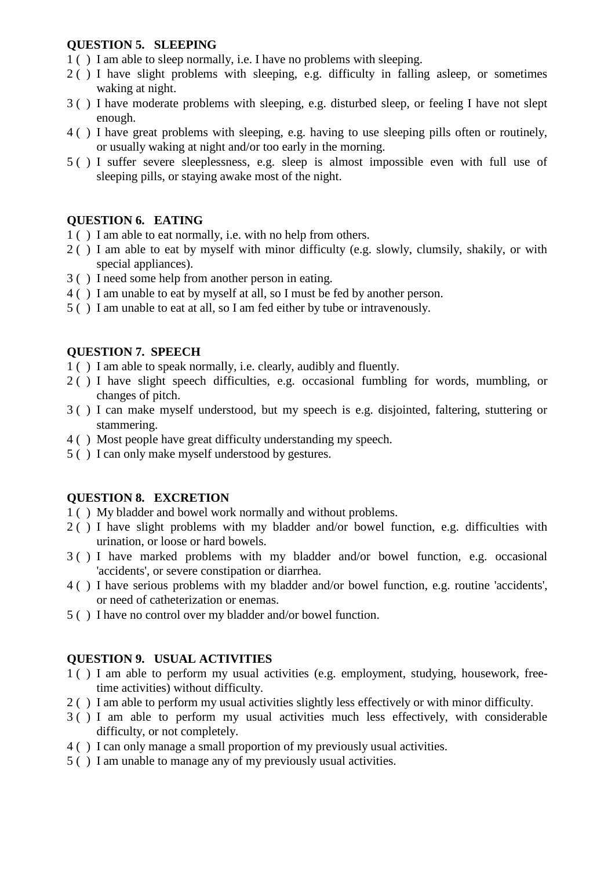#### **QUESTION 5. SLEEPING**

- 1 ( ) I am able to sleep normally, i.e. I have no problems with sleeping.
- 2 ( ) I have slight problems with sleeping, e.g. difficulty in falling asleep, or sometimes waking at night.
- 3 ( ) I have moderate problems with sleeping, e.g. disturbed sleep, or feeling I have not slept enough.
- 4 ( ) I have great problems with sleeping, e.g. having to use sleeping pills often or routinely, or usually waking at night and/or too early in the morning.
- 5 ( ) I suffer severe sleeplessness, e.g. sleep is almost impossible even with full use of sleeping pills, or staying awake most of the night.

# **QUESTION 6. EATING**

- 1 ( ) I am able to eat normally, i.e. with no help from others.
- 2 ( ) I am able to eat by myself with minor difficulty (e.g. slowly, clumsily, shakily, or with special appliances).
- 3 ( ) I need some help from another person in eating.
- 4 ( ) I am unable to eat by myself at all, so I must be fed by another person.
- 5 ( ) I am unable to eat at all, so I am fed either by tube or intravenously.

#### **QUESTION 7. SPEECH**

- 1 ( ) I am able to speak normally, i.e. clearly, audibly and fluently.
- 2 ( ) I have slight speech difficulties, e.g. occasional fumbling for words, mumbling, or changes of pitch.
- 3 ( ) I can make myself understood, but my speech is e.g. disjointed, faltering, stuttering or stammering.
- 4 ( ) Most people have great difficulty understanding my speech.
- 5 ( ) I can only make myself understood by gestures.

#### **QUESTION 8. EXCRETION**

- 1 ( ) My bladder and bowel work normally and without problems.
- 2 ( ) I have slight problems with my bladder and/or bowel function, e.g. difficulties with urination, or loose or hard bowels.
- 3 ( ) I have marked problems with my bladder and/or bowel function, e.g. occasional 'accidents', or severe constipation or diarrhea.
- 4 ( ) I have serious problems with my bladder and/or bowel function, e.g. routine 'accidents', or need of catheterization or enemas.
- 5 ( ) I have no control over my bladder and/or bowel function.

#### **QUESTION 9. USUAL ACTIVITIES**

- 1 ( ) I am able to perform my usual activities (e.g. employment, studying, housework, freetime activities) without difficulty.
- 2 ( ) I am able to perform my usual activities slightly less effectively or with minor difficulty.
- 3 ( ) I am able to perform my usual activities much less effectively, with considerable difficulty, or not completely.
- 4 ( ) I can only manage a small proportion of my previously usual activities.
- 5 ( ) I am unable to manage any of my previously usual activities.